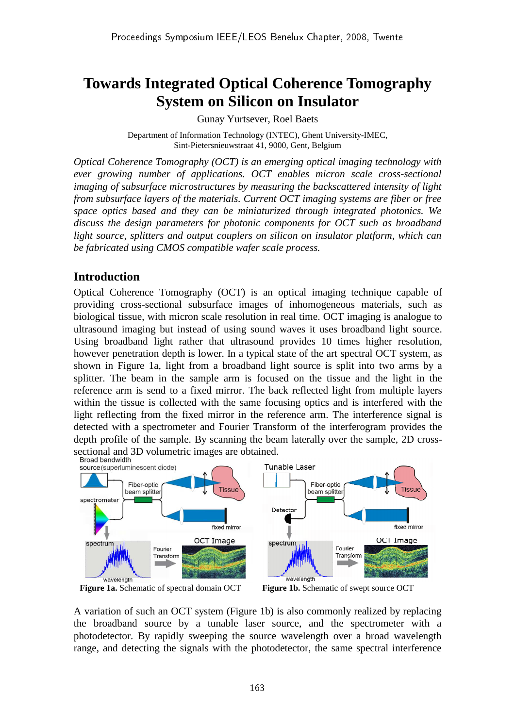# **Towards Integrated Optical Coherence Tomography System on Silicon on Insulator**

Gunay Yurtsever, Roel Baets

Department of Information Technology (INTEC), Ghent University-IMEC, Sint-Pietersnieuwstraat 41, 9000, Gent, Belgium

*Optical Coherence Tomography (OCT) is an emerging optical imaging technology with ever growing number of applications. OCT enables micron scale cross-sectional imaging of subsurface microstructures by measuring the backscattered intensity of light from subsurface layers of the materials. Current OCT imaging systems are fiber or free space optics based and they can be miniaturized through integrated photonics. We discuss the design parameters for photonic components for OCT such as broadband light source, splitters and output couplers on silicon on insulator platform, which can be fabricated using CMOS compatible wafer scale process.* 

### **Introduction**

Optical Coherence Tomography (OCT) is an optical imaging technique capable of providing cross-sectional subsurface images of inhomogeneous materials, such as biological tissue, with micron scale resolution in real time. OCT imaging is analogue to ultrasound imaging but instead of using sound waves it uses broadband light source. Using broadband light rather that ultrasound provides 10 times higher resolution, however penetration depth is lower. In a typical state of the art spectral OCT system, as shown in Figure 1a, light from a broadband light source is split into two arms by a splitter. The beam in the sample arm is focused on the tissue and the light in the reference arm is send to a fixed mirror. The back reflected light from multiple layers within the tissue is collected with the same focusing optics and is interfered with the light reflecting from the fixed mirror in the reference arm. The interference signal is detected with a spectrometer and Fourier Transform of the interferogram provides the depth profile of the sample. By scanning the beam laterally over the sample, 2D crosssectional and 3D volumetric images are obtained.<br>Broad bandwidth



**Figure 1a.** Schematic of spectral domain OCT **Figure 1b.** Schematic of swept source OCT

A variation of such an OCT system (Figure 1b) is also commonly realized by replacing the broadband source by a tunable laser source, and the spectrometer with a photodetector. By rapidly sweeping the source wavelength over a broad wavelength range, and detecting the signals with the photodetector, the same spectral interference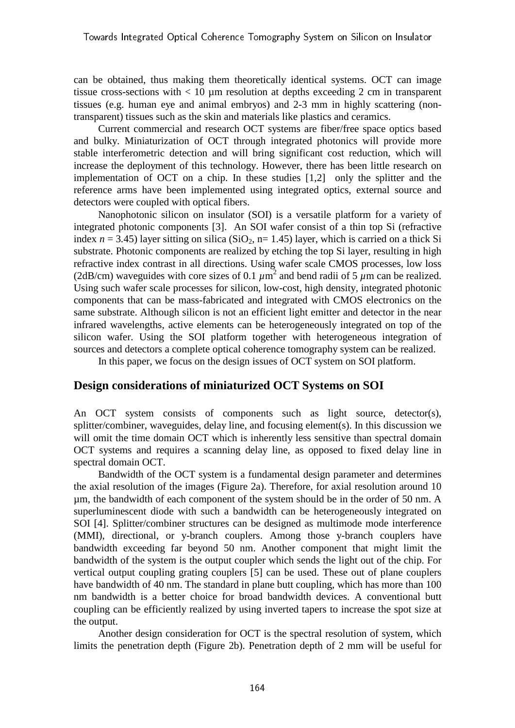can be obtained, thus making them theoretically identical systems. OCT can image tissue cross-sections with  $< 10$  um resolution at depths exceeding 2 cm in transparent tissues (e.g. human eye and animal embryos) and 2-3 mm in highly scattering (nontransparent) tissues such as the skin and materials like plastics and ceramics.

Current commercial and research OCT systems are fiber/free space optics based and bulky. Miniaturization of OCT through integrated photonics will provide more stable interferometric detection and will bring significant cost reduction, which will increase the deployment of this technology. However, there has been little research on implementation of OCT on a chip. In these studies [1,2] only the splitter and the reference arms have been implemented using integrated optics, external source and detectors were coupled with optical fibers.

Nanophotonic silicon on insulator (SOI) is a versatile platform for a variety of integrated photonic components [3]. An SOI wafer consist of a thin top Si (refractive index  $n = 3.45$ ) layer sitting on silica (SiO<sub>2</sub>, n= 1.45) layer, which is carried on a thick Si substrate. Photonic components are realized by etching the top Si layer, resulting in high refractive index contrast in all directions. Using wafer scale CMOS processes, low loss (2dB/cm) waveguides with core sizes of 0.1  $\mu$ m<sup>2</sup> and bend radii of 5  $\mu$ m can be realized. Using such wafer scale processes for silicon, low-cost, high density, integrated photonic components that can be mass-fabricated and integrated with CMOS electronics on the same substrate. Although silicon is not an efficient light emitter and detector in the near infrared wavelengths, active elements can be heterogeneously integrated on top of the silicon wafer. Using the SOI platform together with heterogeneous integration of sources and detectors a complete optical coherence tomography system can be realized.

In this paper, we focus on the design issues of OCT system on SOI platform.

### **Design considerations of miniaturized OCT Systems on SOI**

An OCT system consists of components such as light source, detector(s), splitter/combiner, waveguides, delay line, and focusing element(s). In this discussion we will omit the time domain OCT which is inherently less sensitive than spectral domain OCT systems and requires a scanning delay line, as opposed to fixed delay line in spectral domain OCT.

 Bandwidth of the OCT system is a fundamental design parameter and determines the axial resolution of the images (Figure 2a). Therefore, for axial resolution around 10 µm, the bandwidth of each component of the system should be in the order of 50 nm. A superluminescent diode with such a bandwidth can be heterogeneously integrated on SOI [4]. Splitter/combiner structures can be designed as multimode mode interference (MMI), directional, or y-branch couplers. Among those y-branch couplers have bandwidth exceeding far beyond 50 nm. Another component that might limit the bandwidth of the system is the output coupler which sends the light out of the chip. For vertical output coupling grating couplers [5] can be used. These out of plane couplers have bandwidth of 40 nm. The standard in plane butt coupling, which has more than 100 nm bandwidth is a better choice for broad bandwidth devices. A conventional butt coupling can be efficiently realized by using inverted tapers to increase the spot size at the output.

Another design consideration for OCT is the spectral resolution of system, which limits the penetration depth (Figure 2b). Penetration depth of 2 mm will be useful for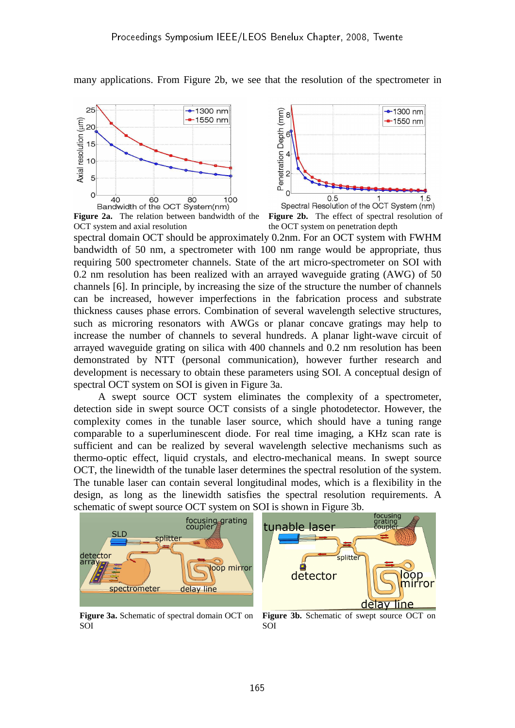

many applications. From Figure 2b, we see that the resolution of the spectrometer in

**Figure 2a.** The relation between bandwidth of the OCT system and axial resolution

**Figure 2b.** The effect of spectral resolution of the OCT system on penetration depth

spectral domain OCT should be approximately 0.2nm. For an OCT system with FWHM bandwidth of 50 nm, a spectrometer with 100 nm range would be appropriate, thus requiring 500 spectrometer channels. State of the art micro-spectrometer on SOI with 0.2 nm resolution has been realized with an arrayed waveguide grating (AWG) of 50 channels [6]. In principle, by increasing the size of the structure the number of channels can be increased, however imperfections in the fabrication process and substrate thickness causes phase errors. Combination of several wavelength selective structures, such as microring resonators with AWGs or planar concave gratings may help to increase the number of channels to several hundreds. A planar light-wave circuit of arrayed waveguide grating on silica with 400 channels and 0.2 nm resolution has been demonstrated by NTT (personal communication), however further research and development is necessary to obtain these parameters using SOI. A conceptual design of spectral OCT system on SOI is given in Figure 3a.

A swept source OCT system eliminates the complexity of a spectrometer, detection side in swept source OCT consists of a single photodetector. However, the complexity comes in the tunable laser source, which should have a tuning range comparable to a superluminescent diode. For real time imaging, a KHz scan rate is sufficient and can be realized by several wavelength selective mechanisms such as thermo-optic effect, liquid crystals, and electro-mechanical means. In swept source OCT, the linewidth of the tunable laser determines the spectral resolution of the system. The tunable laser can contain several longitudinal modes, which is a flexibility in the design, as long as the linewidth satisfies the spectral resolution requirements. A schematic of swept source OCT system on SOI is shown in Figure 3b.



**Figure 3a.** Schematic of spectral domain OCT on SOI

**Figure 3b.** Schematic of swept source OCT on SOI